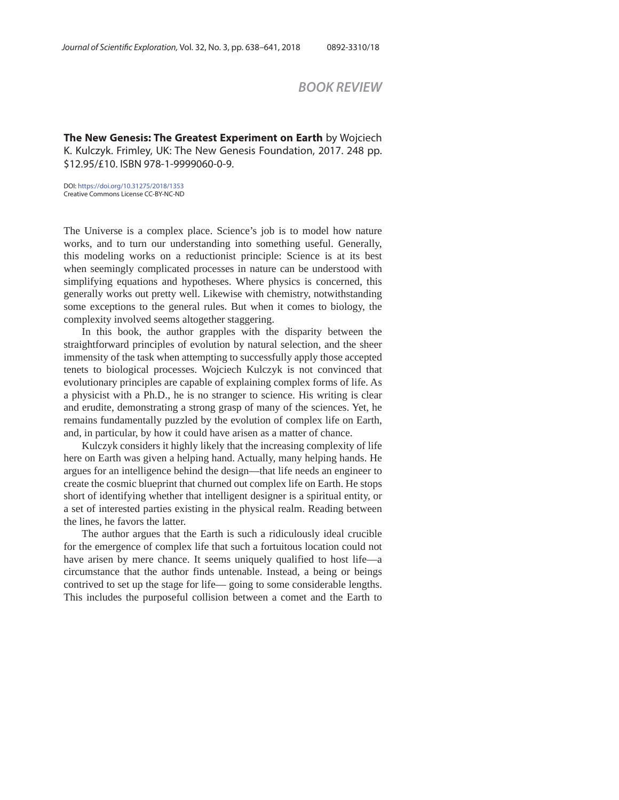## *BOOK REVIEW*

**The New Genesis: The Greatest Experiment on Earth** by Wojciech K. Kulczyk. Frimley, UK: The New Genesis Foundation, 2017. 248 pp. \$12.95/£10. ISBN 978-1-9999060-0-9.

DOI: https://doi.org/10.31275/2018/1353 Creative Commons License CC-BY-NC-ND

The Universe is a complex place. Science's job is to model how nature works, and to turn our understanding into something useful. Generally, this modeling works on a reductionist principle: Science is at its best when seemingly complicated processes in nature can be understood with simplifying equations and hypotheses. Where physics is concerned, this generally works out pretty well. Likewise with chemistry, notwithstanding some exceptions to the general rules. But when it comes to biology, the complexity involved seems altogether staggering.

In this book, the author grapples with the disparity between the straightforward principles of evolution by natural selection, and the sheer immensity of the task when attempting to successfully apply those accepted tenets to biological processes. Wojciech Kulczyk is not convinced that evolutionary principles are capable of explaining complex forms of life. As a physicist with a Ph.D., he is no stranger to science. His writing is clear and erudite, demonstrating a strong grasp of many of the sciences. Yet, he remains fundamentally puzzled by the evolution of complex life on Earth, and, in particular, by how it could have arisen as a matter of chance.

Kulczyk considers it highly likely that the increasing complexity of life here on Earth was given a helping hand. Actually, many helping hands. He argues for an intelligence behind the design—that life needs an engineer to create the cosmic blueprint that churned out complex life on Earth. He stops short of identifying whether that intelligent designer is a spiritual entity, or a set of interested parties existing in the physical realm. Reading between the lines, he favors the latter.

The author argues that the Earth is such a ridiculously ideal crucible for the emergence of complex life that such a fortuitous location could not have arisen by mere chance. It seems uniquely qualified to host life—a circumstance that the author finds untenable. Instead, a being or beings contrived to set up the stage for life— going to some considerable lengths. This includes the purposeful collision between a comet and the Earth to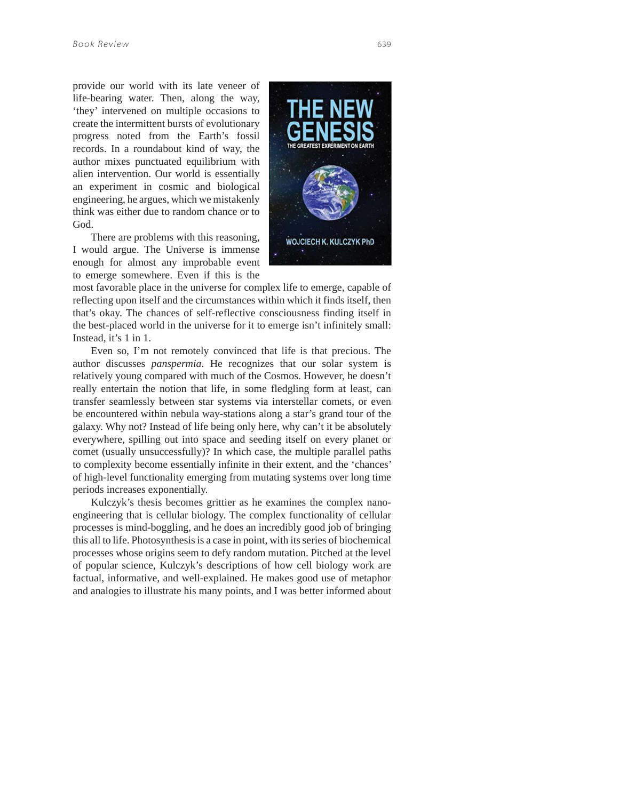provide our world with its late veneer of life-bearing water. Then, along the way, 'they' intervened on multiple occasions to create the intermittent bursts of evolutionary progress noted from the Earth's fossil records. In a roundabout kind of way, the author mixes punctuated equilibrium with alien intervention. Our world is essentially an experiment in cosmic and biological engineering, he argues, which we mistakenly think was either due to random chance or to God.

There are problems with this reasoning, I would argue. The Universe is immense enough for almost any improbable event to emerge somewhere. Even if this is the



most favorable place in the universe for complex life to emerge, capable of reflecting upon itself and the circumstances within which it finds itself, then that's okay. The chances of self-reflective consciousness finding itself in the best-placed world in the universe for it to emerge isn't infinitely small: Instead, it's 1 in 1.

Even so, I'm not remotely convinced that life is that precious. The author discusses *panspermia*. He recognizes that our solar system is relatively young compared with much of the Cosmos. However, he doesn't really entertain the notion that life, in some fledgling form at least, can transfer seamlessly between star systems via interstellar comets, or even be encountered within nebula way-stations along a star's grand tour of the galaxy. Why not? Instead of life being only here, why can't it be absolutely everywhere, spilling out into space and seeding itself on every planet or comet (usually unsuccessfully)? In which case, the multiple parallel paths to complexity become essentially infinite in their extent, and the 'chances' of high-level functionality emerging from mutating systems over long time periods increases exponentially.

Kulczyk's thesis becomes grittier as he examines the complex nanoengineering that is cellular biology. The complex functionality of cellular processes is mind-boggling, and he does an incredibly good job of bringing this all to life. Photosynthesis is a case in point, with its series of biochemical processes whose origins seem to defy random mutation. Pitched at the level of popular science, Kulczyk's descriptions of how cell biology work are factual, informative, and well-explained. He makes good use of metaphor and analogies to illustrate his many points, and I was better informed about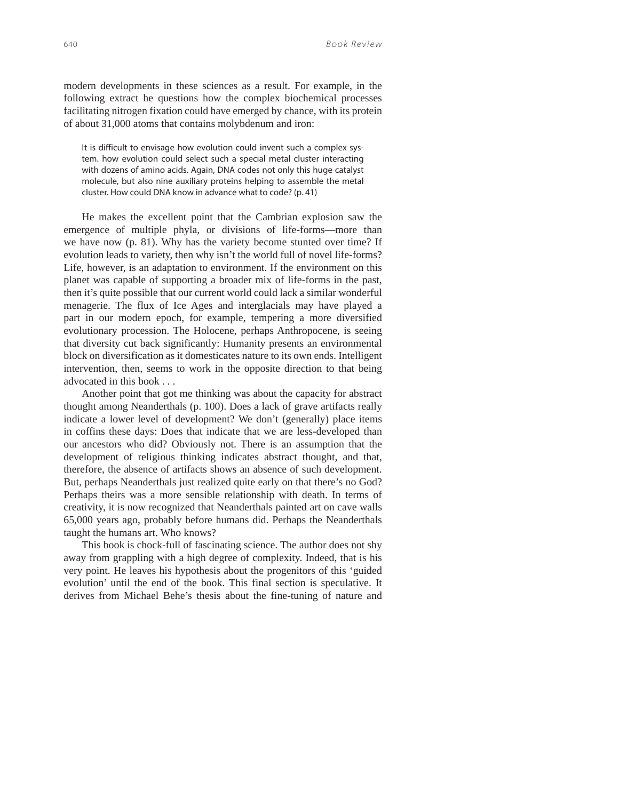modern developments in these sciences as a result. For example, in the following extract he questions how the complex biochemical processes facilitating nitrogen fixation could have emerged by chance, with its protein of about 31,000 atoms that contains molybdenum and iron:

It is difficult to envisage how evolution could invent such a complex system. how evolution could select such a special metal cluster interacting with dozens of amino acids. Again, DNA codes not only this huge catalyst molecule, but also nine auxiliary proteins helping to assemble the metal cluster. How could DNA know in advance what to code? (p. 41)

He makes the excellent point that the Cambrian explosion saw the emergence of multiple phyla, or divisions of life-forms—more than we have now (p. 81). Why has the variety become stunted over time? If evolution leads to variety, then why isn't the world full of novel life-forms? Life, however, is an adaptation to environment. If the environment on this planet was capable of supporting a broader mix of life-forms in the past, then it's quite possible that our current world could lack a similar wonderful menagerie. The flux of Ice Ages and interglacials may have played a part in our modern epoch, for example, tempering a more diversified evolutionary procession. The Holocene, perhaps Anthropocene, is seeing that diversity cut back significantly: Humanity presents an environmental block on diversification as it domesticates nature to its own ends. Intelligent intervention, then, seems to work in the opposite direction to that being advocated in this book . . .

Another point that got me thinking was about the capacity for abstract thought among Neanderthals (p. 100). Does a lack of grave artifacts really indicate a lower level of development? We don't (generally) place items in coffins these days: Does that indicate that we are less-developed than our ancestors who did? Obviously not. There is an assumption that the development of religious thinking indicates abstract thought, and that, therefore, the absence of artifacts shows an absence of such development. But, perhaps Neanderthals just realized quite early on that there's no God? Perhaps theirs was a more sensible relationship with death. In terms of creativity, it is now recognized that Neanderthals painted art on cave walls 65,000 years ago, probably before humans did. Perhaps the Neanderthals taught the humans art. Who knows?

This book is chock-full of fascinating science. The author does not shy away from grappling with a high degree of complexity. Indeed, that is his very point. He leaves his hypothesis about the progenitors of this 'guided evolution' until the end of the book. This final section is speculative. It derives from Michael Behe's thesis about the fine-tuning of nature and